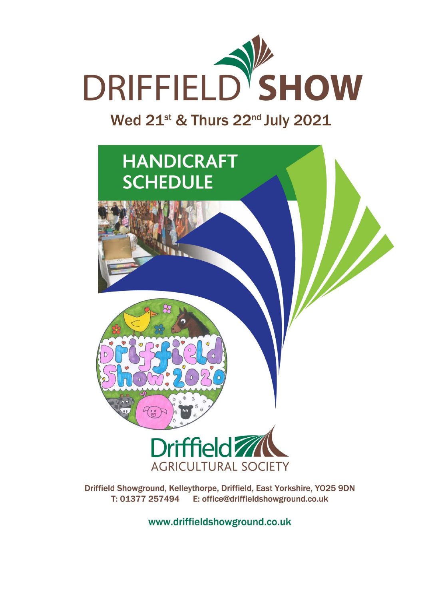

Wed 21st & Thurs 22nd July 2021



Driffield Showground, Kelleythorpe, Driffield, East Yorkshire, YO25 9DN T: 01377 257494 E: office@driffieldshowground.co.uk

www.driffieldshowground.co.uk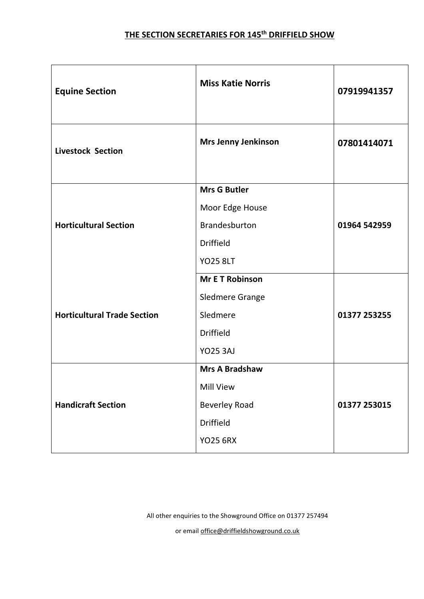### **THE SECTION SECRETARIES FOR 145th DRIFFIELD SHOW**

| <b>Equine Section</b>              | <b>Miss Katie Norris</b>   | 07919941357  |
|------------------------------------|----------------------------|--------------|
| <b>Livestock Section</b>           | <b>Mrs Jenny Jenkinson</b> | 07801414071  |
| <b>Horticultural Section</b>       | <b>Mrs G Butler</b>        |              |
|                                    | Moor Edge House            |              |
|                                    | Brandesburton              | 01964 542959 |
|                                    | <b>Driffield</b>           |              |
|                                    | <b>YO25 8LT</b>            |              |
| <b>Horticultural Trade Section</b> | <b>Mr E T Robinson</b>     |              |
|                                    | <b>Sledmere Grange</b>     |              |
|                                    | Sledmere                   | 01377 253255 |
|                                    | <b>Driffield</b>           |              |
|                                    | <b>YO25 3AJ</b>            |              |
| <b>Handicraft Section</b>          | <b>Mrs A Bradshaw</b>      |              |
|                                    | <b>Mill View</b>           |              |
|                                    | <b>Beverley Road</b>       | 01377 253015 |
|                                    | Driffield                  |              |
|                                    | <b>YO25 6RX</b>            |              |

All other enquiries to the Showground Office on 01377 257494

or email [office@driffieldshowground.co.uk](mailto:office@driffieldshowground.co.uk)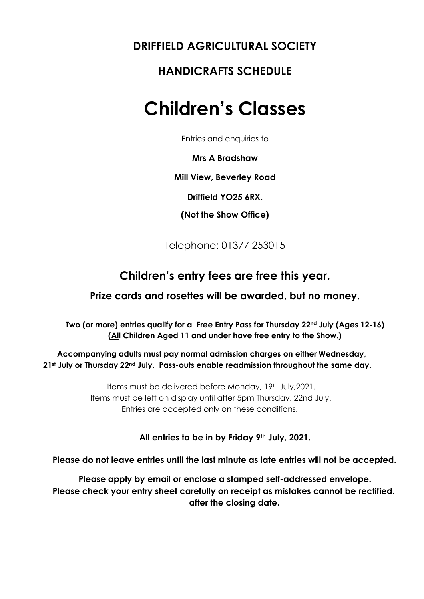## **DRIFFIELD AGRICULTURAL SOCIETY**

## **HANDICRAFTS SCHEDULE**

## **Children's Classes**

Entries and enquiries to

**Mrs A Bradshaw** 

**Mill View, Beverley Road** 

**Driffield YO25 6RX.** 

**(Not the Show Office)** 

Telephone: 01377 253015

### **Children's entry fees are free this year.**

#### **Prize cards and rosettes will be awarded, but no money.**

**Two (or more) entries qualify for a Free Entry Pass for Thursday 22nd July (Ages 12-16) (All Children Aged 11 and under have free entry to the Show.)**

**Accompanying adults must pay normal admission charges on either Wednesday, 21st July or Thursday 22nd July. Pass-outs enable readmission throughout the same day.**

> Items must be delivered before Monday, 19th July,2021. Items must be left on display until after 5pm Thursday, 22nd July. Entries are accepted only on these conditions.

> > **All entries to be in by Friday 9th July, 2021.**

**Please do not leave entries until the last minute as late entries will not be accep***t***ed.** 

**Please apply by email or enclose a stamped self-addressed envelope. Please check your entry sheet carefully on receipt as mistakes cannot be rectified. after the closing date.**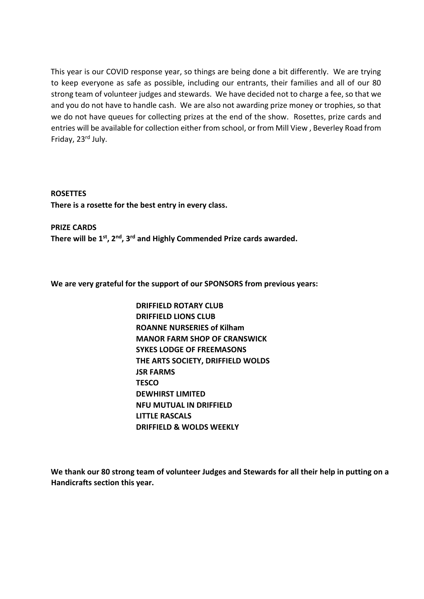This year is our COVID response year, so things are being done a bit differently. We are trying to keep everyone as safe as possible, including our entrants, their families and all of our 80 strong team of volunteer judges and stewards. We have decided not to charge a fee, so that we and you do not have to handle cash. We are also not awarding prize money or trophies, so that we do not have queues for collecting prizes at the end of the show. Rosettes, prize cards and entries will be available for collection either from school, or from Mill View , Beverley Road from Friday, 23rd July.

**ROSETTES There is a rosette for the best entry in every class.**

**PRIZE CARDS There will be 1st, 2nd, 3rd and Highly Commended Prize cards awarded.**

**We are very grateful for the support of our SPONSORS from previous years:**

**DRIFFIELD ROTARY CLUB DRIFFIELD LIONS CLUB ROANNE NURSERIES of Kilham MANOR FARM SHOP OF CRANSWICK SYKES LODGE OF FREEMASONS THE ARTS SOCIETY, DRIFFIELD WOLDS JSR FARMS TESCO DEWHIRST LIMITED NFU MUTUAL IN DRIFFIELD LITTLE RASCALS DRIFFIELD & WOLDS WEEKLY** 

**We thank our 80 strong team of volunteer Judges and Stewards for all their help in putting on a Handicrafts section this year.**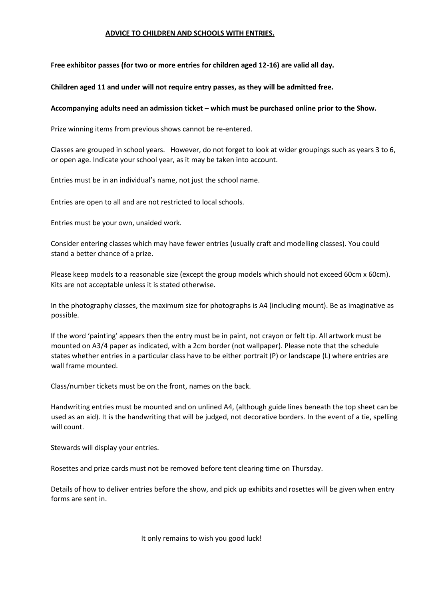#### **ADVICE TO CHILDREN AND SCHOOLS WITH ENTRIES.**

**Free exhibitor passes (for two or more entries for children aged 12-16) are valid all day.** 

**Children aged 11 and under will not require entry passes, as they will be admitted free.**

#### **Accompanying adults need an admission ticket – which must be purchased online prior to the Show.**

Prize winning items from previous shows cannot be re-entered.

Classes are grouped in school years. However, do not forget to look at wider groupings such as years 3 to 6, or open age. Indicate your school year, as it may be taken into account.

Entries must be in an individual's name, not just the school name.

Entries are open to all and are not restricted to local schools.

Entries must be your own, unaided work.

Consider entering classes which may have fewer entries (usually craft and modelling classes). You could stand a better chance of a prize.

Please keep models to a reasonable size (except the group models which should not exceed 60cm x 60cm). Kits are not acceptable unless it is stated otherwise.

In the photography classes, the maximum size for photographs is A4 (including mount). Be as imaginative as possible.

If the word 'painting' appears then the entry must be in paint, not crayon or felt tip. All artwork must be mounted on A3/4 paper as indicated, with a 2cm border (not wallpaper). Please note that the schedule states whether entries in a particular class have to be either portrait (P) or landscape (L) where entries are wall frame mounted.

Class/number tickets must be on the front, names on the back.

Handwriting entries must be mounted and on unlined A4, (although guide lines beneath the top sheet can be used as an aid). It is the handwriting that will be judged, not decorative borders. In the event of a tie, spelling will count.

Stewards will display your entries.

Rosettes and prize cards must not be removed before tent clearing time on Thursday.

Details of how to deliver entries before the show, and pick up exhibits and rosettes will be given when entry forms are sent in.

It only remains to wish you good luck!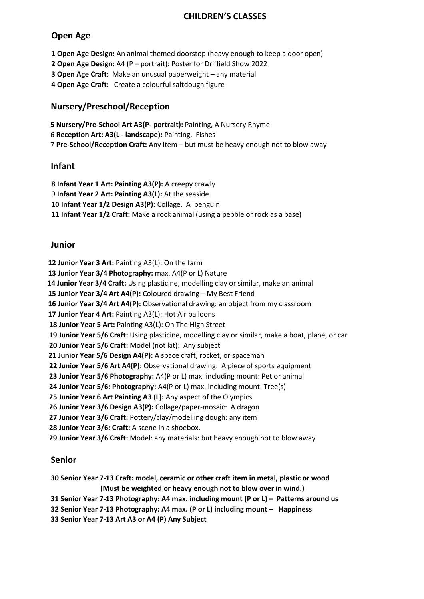#### **CHILDREN'S CLASSES**

#### **Open Age**

 **Open Age Design:** An animal themed doorstop (heavy enough to keep a door open) **Open Age Design:** A4 (P – portrait): Poster for Driffield Show 2022 **Open Age Craft**: Make an unusual paperweight – any material **Open Age Craft**: Create a colourful saltdough figure

#### **Nursery/Preschool/Reception**

**5 Nursery/Pre-School Art A3(P- portrait):** Painting, A Nursery Rhyme 6 **Reception Art: A3(L - landscape):** Painting, Fishes 7 **Pre-School/Reception Craft:** Any item – but must be heavy enough not to blow away

#### **Infant**

**8 Infant Year 1 Art: Painting A3(P):** A creepy crawly **Infant Year 2 Art: Painting A3(L):** At the seaside **Infant Year 1/2 Design A3(P):** Collage. A penguin **Infant Year 1/2 Craft:** Make a rock animal (using a pebble or rock as a base)

#### **Junior**

 **12 Junior Year 3 Art:** Painting A3(L): On the farm

 **13 Junior Year 3/4 Photography:** max. A4(P or L) Nature

**14 Junior Year 3/4 Craft:** Using plasticine, modelling clay or similar, make an animal

 **15 Junior Year 3/4 Art A4(P):** Coloured drawing – My Best Friend

 **16 Junior Year 3/4 Art A4(P):** Observational drawing: an object from my classroom

 **17 Junior Year 4 Art:** Painting A3(L): Hot Air balloons

**18 Junior Year 5 Art:** Painting A3(L): On The High Street

**19 Junior Year 5/6 Craft:** Using plasticine, modelling clay or similar, make a boat, plane, or car

**20 Junior Year 5/6 Craft:** Model (not kit): Any subject

 **21 Junior Year 5/6 Design A4(P):** A space craft, rocket, or spaceman

**22 Junior Year 5/6 Art A4(P):** Observational drawing: A piece of sports equipment

**23 Junior Year 5/6 Photography:** A4(P or L) max. including mount: Pet or animal

**24 Junior Year 5/6: Photography:** A4(P or L) max. including mount: Tree(s)

**25 Junior Year 6 Art Painting A3 (L):** Any aspect of the Olympics

**26 Junior Year 3/6 Design A3(P):** Collage/paper-mosaic: A dragon

**27 Junior Year 3/6 Craft:** Pottery/clay/modelling dough: any item

**28 Junior Year 3/6: Craft:** A scene in a shoebox.

**29 Junior Year 3/6 Craft:** Model: any materials: but heavy enough not to blow away

#### **Senior**

**30 Senior Year 7-13 Craft: model, ceramic or other craft item in metal, plastic or wood (Must be weighted or heavy enough not to blow over in wind.)**

**31 Senior Year 7-13 Photography: A4 max. including mount (P or L) – Patterns around us**

**32 Senior Year 7-13 Photography: A4 max. (P or L) including mount – Happiness**

**33 Senior Year 7-13 Art A3 or A4 (P) Any Subject**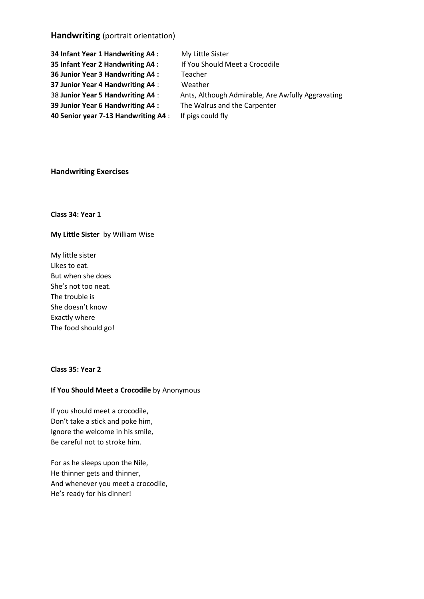#### **Handwriting** (portrait orientation)

| 34 Infant Year 1 Handwriting A4 :    | My Little Sister                                  |
|--------------------------------------|---------------------------------------------------|
| 35 Infant Year 2 Handwriting A4 :    | If You Should Meet a Crocodile                    |
| 36 Junior Year 3 Handwriting A4 :    | Teacher                                           |
| 37 Junior Year 4 Handwriting A4 :    | Weather                                           |
| 38 Junior Year 5 Handwriting A4 :    | Ants, Although Admirable, Are Awfully Aggravating |
| 39 Junior Year 6 Handwriting A4 :    | The Walrus and the Carpenter                      |
| 40 Senior year 7-13 Handwriting A4 : | If pigs could fly                                 |

#### **Handwriting Exercises**

**Class 34: Year 1**

**My Little Sister** by William Wise

My little sister Likes to eat. But when she does She's not too neat. The trouble is She doesn't know Exactly where The food should go!

#### **Class 35: Year 2**

#### **If You Should Meet a Crocodile** by Anonymous

If you should meet a crocodile, Don't take a stick and poke him, Ignore the welcome in his smile, Be careful not to stroke him.

For as he sleeps upon the Nile, He thinner gets and thinner, And whenever you meet a crocodile, He's ready for his dinner!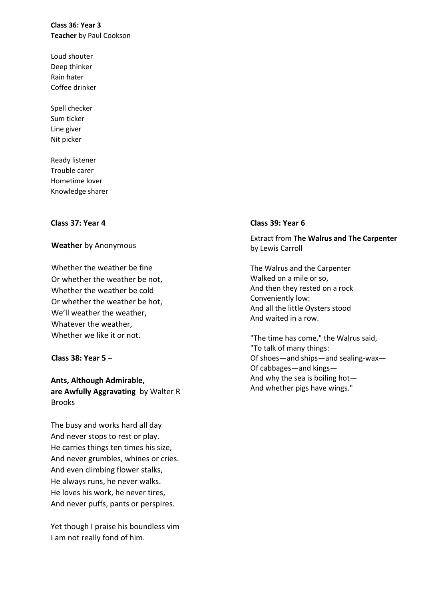**Class 36: Year 3 Teacher** by Paul Cookson

Loud shouter Deep thinker Rain hater Coffee drinker

Spell checker Sum ticker Line giver Nit picker

Ready listener Trouble carer Hometime lover Knowledge sharer

#### **Class 37: Year 4**

#### **Weather** by Anonymous

Whether the weather be fine Or whether the weather be not, Whether the weather be cold Or whether the weather be hot, We'll weather the weather, Whatever the weather, Whether we like it or not.

#### **Class 38: Year 5 –**

**Ants, Although Admirable, are Awfully Aggravating** by Walter R Brooks

The busy and works hard all day And never stops to rest or play. He carries things ten times his size, And never grumbles, whines or cries. And even climbing flower stalks, He always runs, he never walks. He loves his work, he never tires, And never puffs, pants or perspires.

Yet though I praise his boundless vim I am not really fond of him.

#### **Class 39: Year 6**

Extract from **The Walrus and The Carpenter** by Lewis Carroll

The Walrus and the Carpenter Walked on a mile or so, And then they rested on a rock Conveniently low: And all the little Oysters stood And waited in a row.

"The time has come," the Walrus said, "To talk of many things: Of shoes—and ships—and sealing-wax— Of cabbages—and kings— And why the sea is boiling hot— And whether pigs have wings."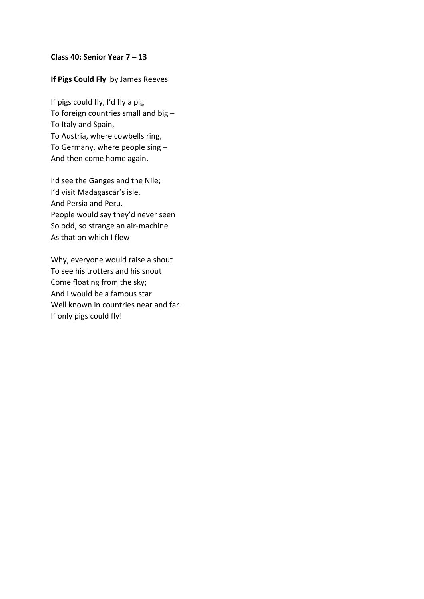#### **Class 40: Senior Year 7 – 13**

#### **If Pigs Could Fly** by James Reeves

If pigs could fly, I'd fly a pig To foreign countries small and big – To Italy and Spain, To Austria, where cowbells ring, To Germany, where people sing – And then come home again.

I'd see the Ganges and the Nile; I'd visit Madagascar's isle, And Persia and Peru. People would say they'd never seen So odd, so strange an air-machine As that on which I flew

Why, everyone would raise a shout To see his trotters and his snout Come floating from the sky; And I would be a famous star Well known in countries near and far -If only pigs could fly!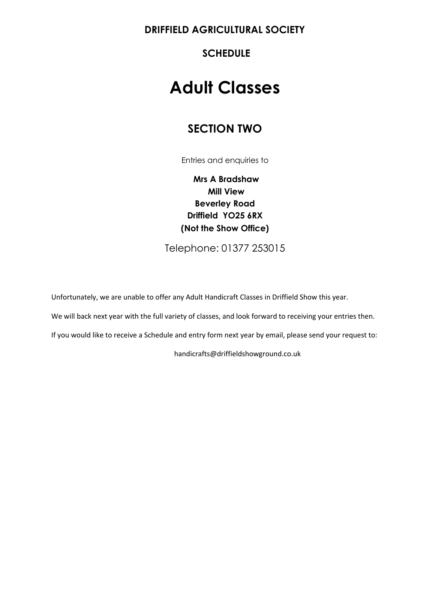**DRIFFIELD AGRICULTURAL SOCIETY** 

**SCHEDULE** 

## **Adult Classes**

## **SECTION TWO**

Entries and enquiries to

**Mrs A Bradshaw Mill View Beverley Road Driffield YO25 6RX (Not the Show Office)**

Telephone: 01377 253015

Unfortunately, we are unable to offer any Adult Handicraft Classes in Driffield Show this year.

We will back next year with the full variety of classes, and look forward to receiving your entries then.

If you would like to receive a Schedule and entry form next year by email, please send your request to:

handicrafts@driffieldshowground.co.uk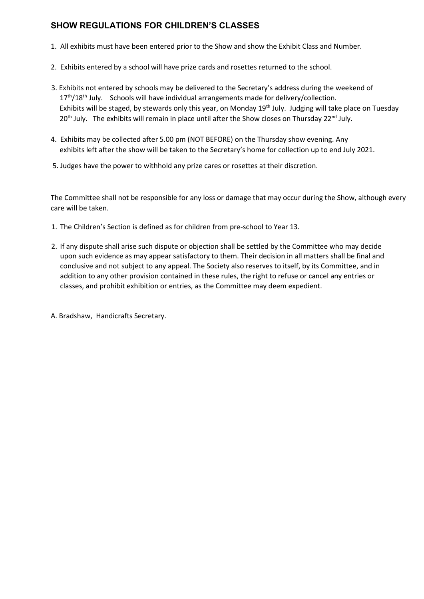#### **SHOW REGULATIONS FOR CHILDREN'S CLASSES**

- 1. All exhibits must have been entered prior to the Show and show the Exhibit Class and Number.
- 2. Exhibits entered by a school will have prize cards and rosettes returned to the school.
- 3. Exhibits not entered by schools may be delivered to the Secretary's address during the weekend of  $17<sup>th</sup>/18<sup>th</sup>$  July. Schools will have individual arrangements made for delivery/collection. Exhibits will be staged, by stewards only this year, on Monday 19<sup>th</sup> July. Judging will take place on Tuesday 20<sup>th</sup> July. The exhibits will remain in place until after the Show closes on Thursday 22<sup>nd</sup> July.
- 4. Exhibits may be collected after 5.00 pm (NOT BEFORE) on the Thursday show evening. Any exhibits left after the show will be taken to the Secretary's home for collection up to end July 2021.
- 5. Judges have the power to withhold any prize cares or rosettes at their discretion.

The Committee shall not be responsible for any loss or damage that may occur during the Show, although every care will be taken.

- 1. The Children's Section is defined as for children from pre-school to Year 13.
- 2. If any dispute shall arise such dispute or objection shall be settled by the Committee who may decide upon such evidence as may appear satisfactory to them. Their decision in all matters shall be final and conclusive and not subject to any appeal. The Society also reserves to itself, by its Committee, and in addition to any other provision contained in these rules, the right to refuse or cancel any entries or classes, and prohibit exhibition or entries, as the Committee may deem expedient.

A. Bradshaw, Handicrafts Secretary.